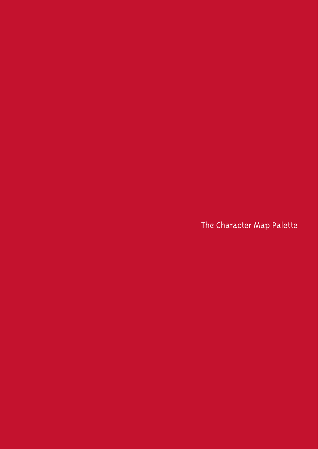The Character Map Palette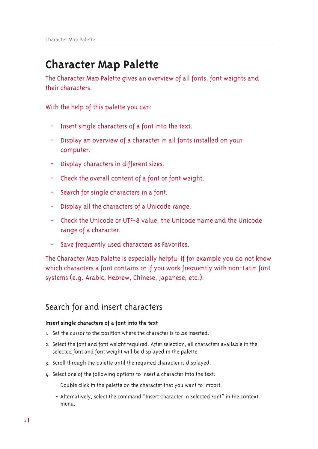# **Character Map Palette**

The Character Map Palette gives an overview of all fonts, font weights and their characters.

With the help of this palette you can:

- Insert single characters of a font into the text.  $\equiv$
- Display an overview of a character in all fonts installed on your computer.
- Display characters in different sizes.
- Check the overall content of a font or font weight.
- Search for single characters in a font. ÷.
- Display all the characters of a Unicode range.  $\omega_{\rm c}$
- Check the Unicode or UTF-8 value, the Unicode name and the Unicode range of a character.
- Save frequently used characters as Favorites.  $\overline{\phantom{a}}$

The Character Map Palette is especially helpful if for example you do not know which characters a font contains or if you work frequently with non-Latin font systems (e.g. Arabic, Hebrew, Chinese, Japanese, etc.).

# Search for and insert characters

## Insert single characters of a font into the text

- I. Set the cursor to the position where the character is to be inserted.
- 2. Select the font and font weight required. After selection, all characters available in the selected font and font weight will be displayed in the palette.
- 3. Scroll through the palette until the required character is displayed.
- 4. Select one of the following options to insert a character into the text:
	- Double click in the palette on the character that you want to import.
	- Alternatively, select the command "Insert Character in Selected Font" in the context menu.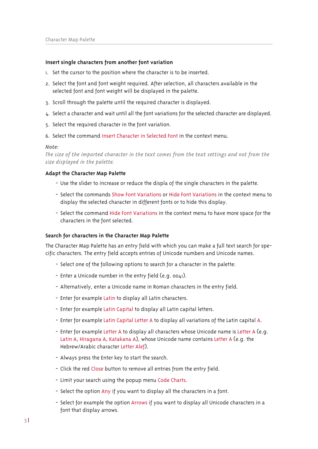#### Insert single characters from another font variation

- I. Set the cursor to the position where the character is to be inserted.
- 2. Select the font and font weight required. After selection, all characters available in the selected font and font weight will be displayed in the palette.
- 3. Scroll through the palette until the required character is displayed.
- 4. Select a character and wait until all the font variations for the selected character are displayed.
- 5. Select the required character in the font variation.
- 6. Select the command Insert Character in Selected Font in the context menu.

#### Note:

The size of the imported character in the text comes from the text settings and not from the size displayed in the palette.

#### Adapt the Character Map Palette

- Use the slider to increase or reduce the displa of the single characters in the palette.
- Select the commands Show Font Variations or Hide Font Variations in the context menu to display the selected character in different fonts or to hide this display.
- Select the command Hide Font Variations in the context menu to have more space for the characters in the font selected.

#### Search for characters in the Character Map Palette

The Character Map Palette has an entry field with which you can make a full text search for specific characters. The entry field accepts entries of Unicode numbers and Unicode names.

- Select one of the following options to search for a character in the palette:
- Enter a Unicode number in the entry field (e.g. 0041).
- Alternatively, enter a Unicode name in Roman characters in the entry field.
- Enter for example Latin to display all Latin characters.
- Enter for example Latin Capital to display all Latin capital letters.
- Enter for example Latin Capital Letter A to display all variations of the Latin capital A.
- Enter for example Letter A to display all characters whose Unicode name is Letter A (e.g. Latin A, Hiragana A, Katakana A), whose Unicode name contains Letter A (e.g. the Hebrew/Arabic character Letter Alef).
- Always press the Enter key to start the search.
- Click the red Close button to remove all entries from the entry field.
- Limit your search using the popup menu Code Charts.
- Select the option Any if you want to display all the characters in a font.
- Select for example the option Arrows if you want to display all Unicode characters in a font that display arrows.